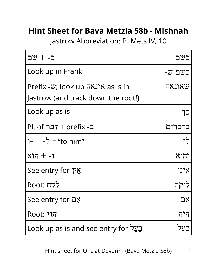## **Hint Sheet for Bava Metzia 58b - Mishnah**

Jastrow Abbreviation: B. Mets IV, 10

| כ- $+\infty$ ם                                                                 | בשם    |
|--------------------------------------------------------------------------------|--------|
| Look up in Frank                                                               | כשם ש- |
| Prefix - $\psi$ ; look up אונאה as is in<br>Jastrow (and track down the root!) | שאונאה |
| Look up as is                                                                  |        |
| El. of רבר Pl. of דבר                                                          | בדברים |
| 1- $+$ -7 = "to him"                                                           | לו     |
| $817 + -1$                                                                     | והוא   |
| See entry for ነን ያ                                                             | אינו   |
| Root: לקח                                                                      | ליקח   |
| See entry for <b><u>ጋ</u></b>                                                  | אם     |
| <b>Root: 717</b>                                                               | היה    |
| בַּעֲל Look up as is and see entry for בַּעֲל                                  |        |

Hint sheet for Ona'at Devarim (Bava Metzia 58b) 1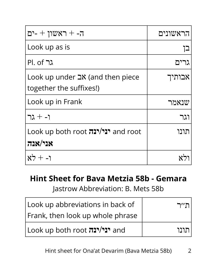| ראשון + -ים --                                                              | הראשונים |
|-----------------------------------------------------------------------------|----------|
| Look up as is                                                               | בן       |
| Pl. of גר                                                                   | גרים     |
| Look up under $\exists$ <b>X</b> (and then piece<br>together the suffixes!) | אבותיך   |
| Look up in Frank                                                            | שנאמר    |
| $72 + -1$                                                                   | וגר      |
| Look up both root יני/ינה and root<br>אני/אנה                               | תונו     |
| $x^2 + -1$                                                                  |          |

## **Hint Sheet for Bava Metzia 58b - Gemara**

Jastrow Abbreviation: B. Mets 58b

| Look up abbreviations in back of     | ח׳יר |
|--------------------------------------|------|
| Frank, then look up whole phrase     |      |
| and <b>יני/ינה</b> Look up both root | הווו |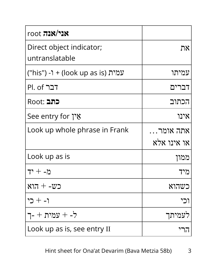| <b>YIX</b> אנל                    |             |
|-----------------------------------|-------------|
| Direct object indicator;          | את          |
| untranslatable                    |             |
| עמית (look up as is) + ו- ("his") | עמיתו       |
| Pl. of דבר                        | דברים       |
| <b>Root: בתב</b>                  | הכתוב       |
| See entry for אֵין                | אינו        |
| Look up whole phrase in Frank     | אתה אומר…   |
|                                   | או אינו אלא |
| Look up as is                     | ממון        |
| מ- + יד                           | מיד         |
| $877 + -222$                      | כשהוא       |
| ו- + כי                           | וכי         |
| ל- + עמית + -ד                    | לעמיתך      |
| Look up as is, see entry II       | הרי         |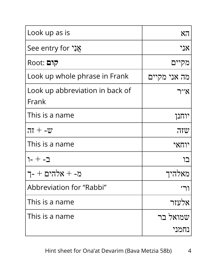| Look up as is                            | 87           |
|------------------------------------------|--------------|
| See entry for אֲנָי                      | אני          |
| Root: קום                                | מקיים        |
| Look up whole phrase in Frank            | מה אני מקיים |
| Look up abbreviation in back of<br>Frank | א״ר          |
| This is a name                           | יוחנן        |
| $77 + -22$                               | שזה          |
| This is a name                           | יוחאי        |
| ב- + -ר                                  | רו           |
| מ- + אלהים + -ך                          | מאלהיד       |
| Abbreviation for "Rabbi"                 |              |
| This is a name                           | אלעזר        |
| This is a name                           | שמואל בר     |
|                                          | נחמני        |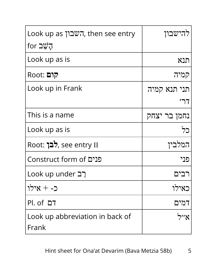| Look up as השבון, then see entry | להישבון      |
|----------------------------------|--------------|
| for הַשֶּׁב                      |              |
| Look up as is                    | תנא          |
| Root: קום                        | קמיה         |
| Look up in Frank                 | תני תנא קמיה |
|                                  |              |
| This is a name                   | נחמן בר יצחק |
| Look up as is                    | כל           |
| Root: לבן, see entry II          | המלביו       |
| <b>Construct form of פנים</b>    | פני          |
| Look up under רב                 | ריה          |
| כ- + אילו                        | כאילו        |
| PI. of 27                        | דמים         |
| Look up abbreviation in back of  | אייל         |
| Frank                            |              |